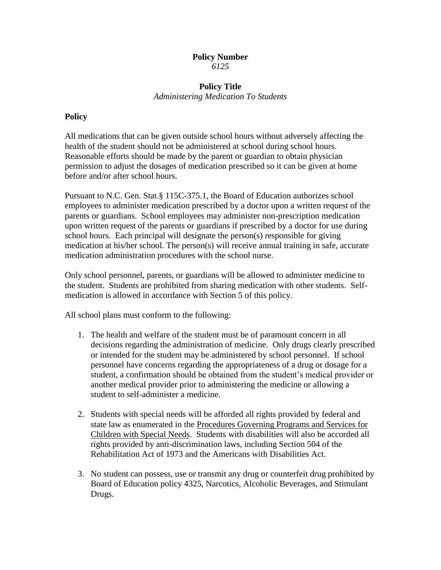## **Policy Number** *6125*

## **Policy Title** *Administering Medication To Students*

## **Policy**

All medications that can be given outside school hours without adversely affecting the health of the student should not be administered at school during school hours. Reasonable efforts should be made by the parent or guardian to obtain physician permission to adjust the dosages of medication prescribed so it can be given at home before and/or after school hours.

Pursuant to N.C. Gen. Stat.§ 115C-375.1, the Board of Education authorizes school employees to administer medication prescribed by a doctor upon a written request of the parents or guardians. School employees may administer non-prescription medication upon written request of the parents or guardians if prescribed by a doctor for use during school hours. Each principal will designate the person(s) responsible for giving medication at his/her school. The person(s) will receive annual training in safe, accurate medication administration procedures with the school nurse.

Only school personnel, parents, or guardians will be allowed to administer medicine to the student. Students are prohibited from sharing medication with other students. Selfmedication is allowed in accordance with Section 5 of this policy.

All school plans must conform to the following:

- 1. The health and welfare of the student must be of paramount concern in all decisions regarding the administration of medicine. Only drugs clearly prescribed or intended for the student may be administered by school personnel. If school personnel have concerns regarding the appropriateness of a drug or dosage for a student, a confirmation should be obtained from the student's medical provider or another medical provider prior to administering the medicine or allowing a student to self-administer a medicine.
- 2. Students with special needs will be afforded all rights provided by federal and state law as enumerated in the Procedures Governing Programs and Services for Children with Special Needs. Students with disabilities will also be accorded all rights provided by anti-discrimination laws, including Section 504 of the Rehabilitation Act of 1973 and the Americans with Disabilities Act.
- 3. No student can possess, use or transmit any drug or counterfeit drug prohibited by Board of Education policy 4325, Narcotics, Alcoholic Beverages, and Stimulant Drugs.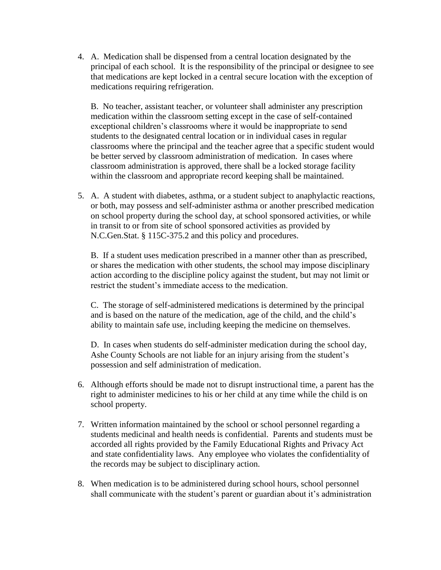4. A. Medication shall be dispensed from a central location designated by the principal of each school. It is the responsibility of the principal or designee to see that medications are kept locked in a central secure location with the exception of medications requiring refrigeration.

B. No teacher, assistant teacher, or volunteer shall administer any prescription medication within the classroom setting except in the case of self-contained exceptional children's classrooms where it would be inappropriate to send students to the designated central location or in individual cases in regular classrooms where the principal and the teacher agree that a specific student would be better served by classroom administration of medication. In cases where classroom administration is approved, there shall be a locked storage facility within the classroom and appropriate record keeping shall be maintained.

5. A. A student with diabetes, asthma, or a student subject to anaphylactic reactions, or both, may possess and self-administer asthma or another prescribed medication on school property during the school day, at school sponsored activities, or while in transit to or from site of school sponsored activities as provided by N.C.Gen.Stat. § 115C-375.2 and this policy and procedures.

B. If a student uses medication prescribed in a manner other than as prescribed, or shares the medication with other students, the school may impose disciplinary action according to the discipline policy against the student, but may not limit or restrict the student's immediate access to the medication.

C. The storage of self-administered medications is determined by the principal and is based on the nature of the medication, age of the child, and the child's ability to maintain safe use, including keeping the medicine on themselves.

D. In cases when students do self-administer medication during the school day, Ashe County Schools are not liable for an injury arising from the student's possession and self administration of medication.

- 6. Although efforts should be made not to disrupt instructional time, a parent has the right to administer medicines to his or her child at any time while the child is on school property.
- 7. Written information maintained by the school or school personnel regarding a students medicinal and health needs is confidential. Parents and students must be accorded all rights provided by the Family Educational Rights and Privacy Act and state confidentiality laws. Any employee who violates the confidentiality of the records may be subject to disciplinary action.
- 8. When medication is to be administered during school hours, school personnel shall communicate with the student's parent or guardian about it's administration